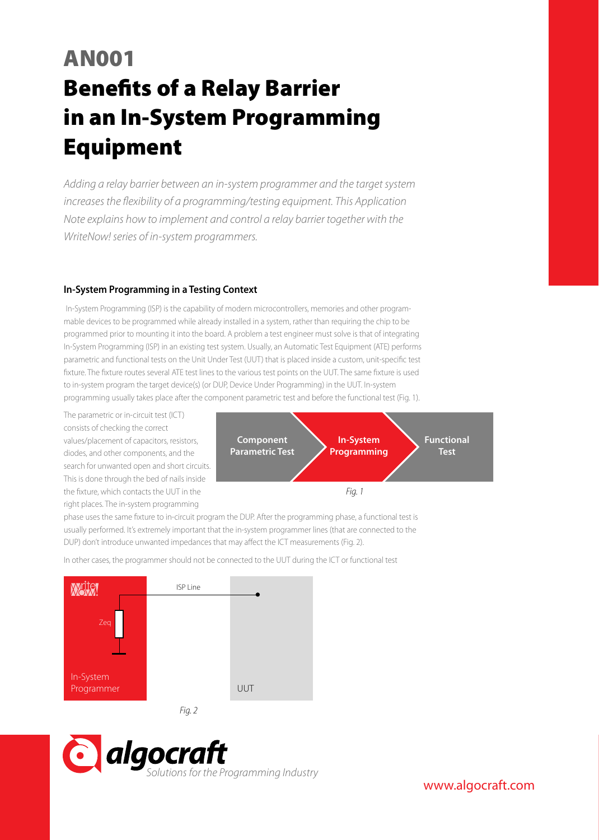# AN001 **Benefits of a Relay Barrier** in an In-System Programming Equipment

*Adding a relay barrier between an in-system programmer and the target system increases the flexibility of a programming/testing equipment. This Application Note explains how to implement and control a relay barrier together with the WriteNow! series of in-system programmers.*

## **In-System Programming in a Testing Context**

In-System Programming (ISP) is the capability of modern microcontrollers, memories and other programmable devices to be programmed while already installed in a system, rather than requiring the chip to be programmed prior to mounting it into the board. A problem a test engineer must solve is that of integrating In-System Programming (ISP) in an existing test system. Usually, an Automatic Test Equipment (ATE) performs parametric and functional tests on the Unit Under Test (UUT) that is placed inside a custom, unit-specific test fixture. The fixture routes several ATE test lines to the various test points on the UUT. The same fixture is used to in-system program the target device(s) (or DUP, Device Under Programming) in the UUT. In-system programming usually takes place after the component parametric test and before the functional test (Fig. 1).

The parametric or in-circuit test (ICT) consists of checking the correct values/placement of capacitors, resistors, diodes, and other components, and the search for unwanted open and short circuits. This is done through the bed of nails inside the fixture, which contacts the UUT in the right places. The in-system programming



phase uses the same fixture to in-circuit program the DUP. After the programming phase, a functional test is usually performed. It's extremely important that the in-system programmer lines (that are connected to the DUP) don't introduce unwanted impedances that may affect the ICT measurements (Fig. 2).

In other cases, the programmer should not be connected to the UUT during the ICT or functional test





www.algocraft.com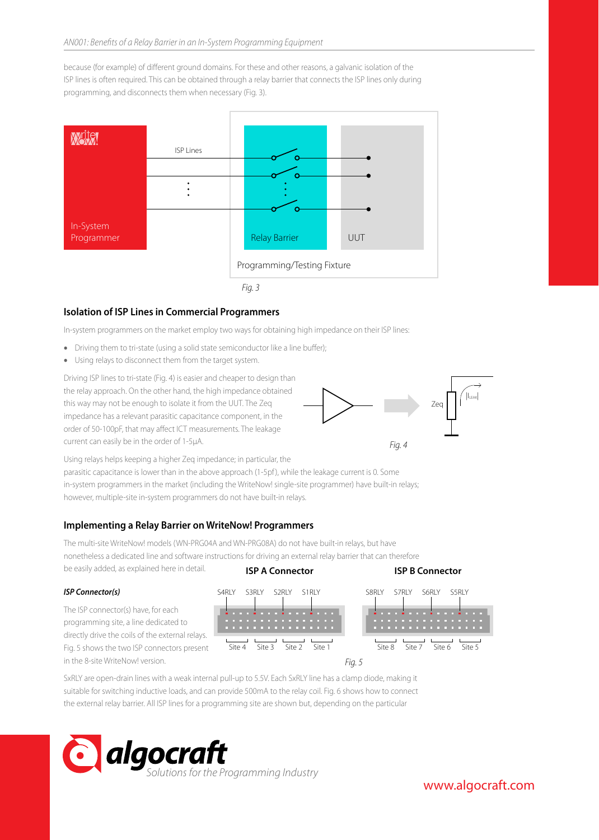because (for example) of different ground domains. For these and other reasons, a galvanic isolation of the ISP lines is often required. This can be obtained through a relay barrier that connects the ISP lines only during programming, and disconnects them when necessary (Fig. 3).



## **Isolation of ISP Lines in Commercial Programmers**

In-system programmers on the market employ two ways for obtaining high impedance on their ISP lines:

- Driving them to tri-state (using a solid state semiconductor like a line buffer);
- Using relays to disconnect them from the target system.

Driving ISP lines to tri-state (Fig. 4) is easier and cheaper to design than the relay approach. On the other hand, the high impedance obtained this way may not be enough to isolate it from the UUT. The Zeq impedance has a relevant parasitic capacitance component, in the order of 50-100pF, that may affect ICT measurements. The leakage current can easily be in the order of 1-5µA.



Using relays helps keeping a higher Zeq impedance; in particular, the parasitic capacitance is lower than in the above approach (1-5pf), while the leakage current is 0. Some in-system programmers in the market (including the WriteNow! single-site programmer) have built-in relays; however, multiple-site in-system programmers do not have built-in relays.

## **Implementing a Relay Barrier on WriteNow! Programmers**

The multi-site WriteNow! models (WN-PRG04A and WN-PRG08A) do not have built-in relays, but have nonetheless a dedicated line and software instructions for driving an external relay barrier that can therefore be easily added, as explained here in detail. **ISP A Connector ISP B Connector**

#### *ISP Connector(s)*

The ISP connector(s) have, for each programming site, a line dedicated to directly drive the coils of the external relays. Fig. 5 shows the two ISP connectors present in the 8-site WriteNow! version.



SxRLY are open-drain lines with a weak internal pull-up to 5.5V. Each SxRLY line has a clamp diode, making it suitable for switching inductive loads, and can provide 500mA to the relay coil. Fig. 6 shows how to connect the external relay barrier. All ISP lines for a programming site are shown but, depending on the particular

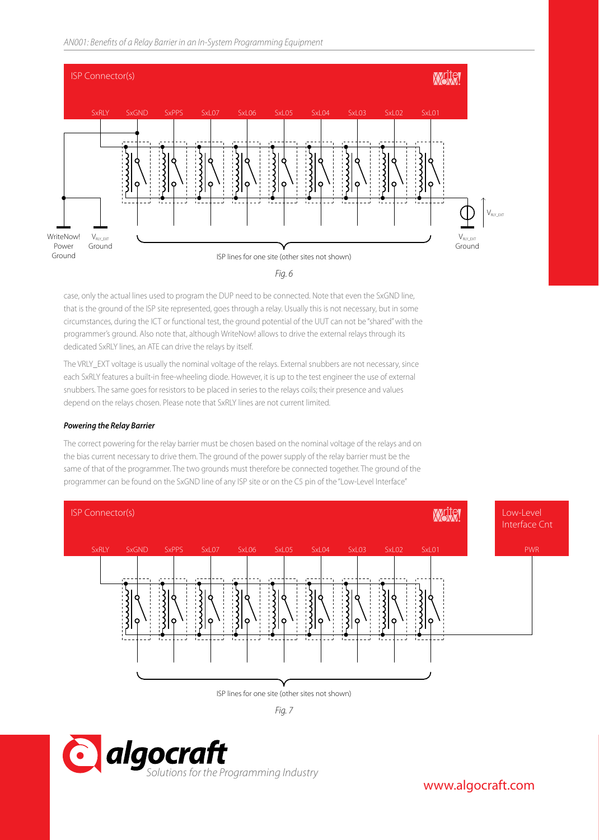*AN001: Benets of a Relay Barrier in an In-System Programming Equipment AN001: Benets of a Relay Barrier in an In-System Programming Equipment*





case, only the actual lines used to program the DUP need to be connected. Note that even the SxGND line, that is the ground of the ISP site represented, goes through a relay. Usually this is not necessary, but in some circumstances, during the ICT or functional test, the ground potential of the UUT can not be "shared" with the programmer's ground. Also note that, although WriteNow! allows to drive the external relays through its dedicated SxRLY lines, an ATE can drive the relays by itself.

The VRLY\_EXT voltage is usually the nominal voltage of the relays. External snubbers are not necessary, since each SxRLY features a built-in free-wheeling diode. However, it is up to the test engineer the use of external snubbers. The same goes for resistors to be placed in series to the relays coils; their presence and values depend on the relays chosen. Please note that SxRLY lines are not current limited.

### *Powering the Relay Barrier*

The correct powering for the relay barrier must be chosen based on the nominal voltage of the relays and on the bias current necessary to drive them. The ground of the power supply of the relay barrier must be the same of that of the programmer. The two grounds must therefore be connected together. The ground of the programmer can be found on the SxGND line of any ISP site or on the C5 pin of the "Low-Level Interface"